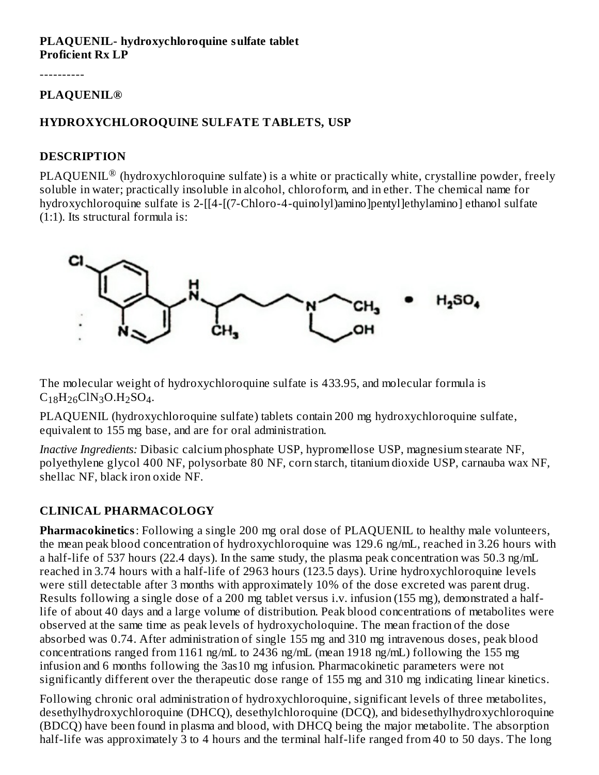#### **PLAQUENIL- hydroxychloroquine sulfate tablet Proficient Rx LP**

----------

#### **PLAQUENIL®**

### **HYDROXYCHLOROQUINE SULFATE TABLETS, USP**

### **DESCRIPTION**

 $\text{PLAQUENIL}^{\circledR}$  (hydroxychloroquine sulfate) is a white or practically white, crystalline powder, freely soluble in water; practically insoluble in alcohol, chloroform, and in ether. The chemical name for hydroxychloroquine sulfate is 2-[[4-[(7-Chloro-4-quinolyl)amino]pentyl]ethylamino] ethanol sulfate (1:1). Its structural formula is:



The molecular weight of hydroxychloroquine sulfate is 433.95, and molecular formula is  $C_{18}H_{26}CIN_3O.H_2SO_4.$ 

PLAQUENIL (hydroxychloroquine sulfate) tablets contain 200 mg hydroxychloroquine sulfate, equivalent to 155 mg base, and are for oral administration.

*Inactive Ingredients:* Dibasic calcium phosphate USP, hypromellose USP, magnesium stearate NF, polyethylene glycol 400 NF, polysorbate 80 NF, corn starch, titanium dioxide USP, carnauba wax NF, shellac NF, black iron oxide NF.

# **CLINICAL PHARMACOLOGY**

**Pharmacokinetics**: Following a single 200 mg oral dose of PLAQUENIL to healthy male volunteers, the mean peak blood concentration of hydroxychloroquine was 129.6 ng/mL, reached in 3.26 hours with a half-life of 537 hours (22.4 days). In the same study, the plasma peak concentration was 50.3 ng/mL reached in 3.74 hours with a half-life of 2963 hours (123.5 days). Urine hydroxychloroquine levels were still detectable after 3 months with approximately 10% of the dose excreted was parent drug. Results following a single dose of a 200 mg tablet versus i.v. infusion (155 mg), demonstrated a halflife of about 40 days and a large volume of distribution. Peak blood concentrations of metabolites were observed at the same time as peak levels of hydroxycholoquine. The mean fraction of the dose absorbed was 0.74. After administration of single 155 mg and 310 mg intravenous doses, peak blood concentrations ranged from 1161 ng/mL to 2436 ng/mL (mean 1918 ng/mL) following the 155 mg infusion and 6 months following the 3as10 mg infusion. Pharmacokinetic parameters were not significantly different over the therapeutic dose range of 155 mg and 310 mg indicating linear kinetics.

Following chronic oral administration of hydroxychloroquine, significant levels of three metabolites, desethylhydroxychloroquine (DHCQ), desethylchloroquine (DCQ), and bidesethylhydroxychloroquine (BDCQ) have been found in plasma and blood, with DHCQ being the major metabolite. The absorption half-life was approximately 3 to 4 hours and the terminal half-life ranged from 40 to 50 days. The long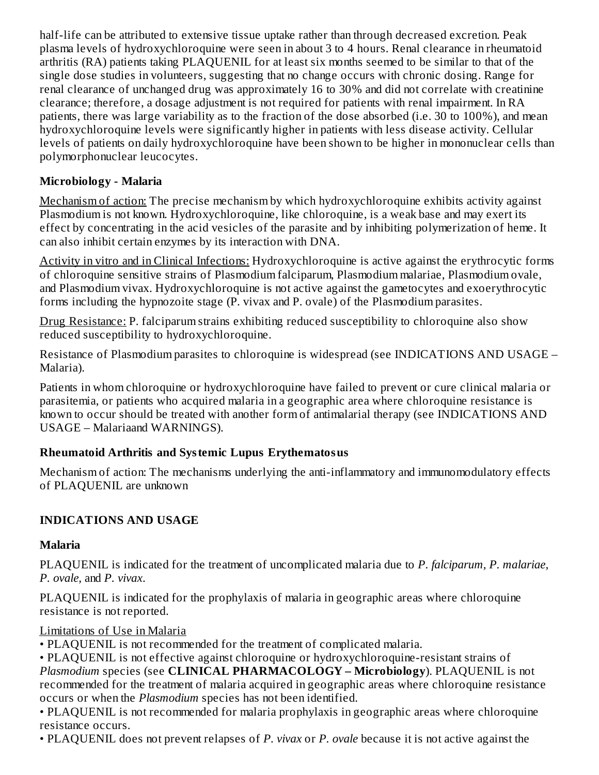half-life can be attributed to extensive tissue uptake rather than through decreased excretion. Peak plasma levels of hydroxychloroquine were seen in about 3 to 4 hours. Renal clearance in rheumatoid arthritis (RA) patients taking PLAQUENIL for at least six months seemed to be similar to that of the single dose studies in volunteers, suggesting that no change occurs with chronic dosing. Range for renal clearance of unchanged drug was approximately 16 to 30% and did not correlate with creatinine clearance; therefore, a dosage adjustment is not required for patients with renal impairment. In RA patients, there was large variability as to the fraction of the dose absorbed (i.e. 30 to 100%), and mean hydroxychloroquine levels were significantly higher in patients with less disease activity. Cellular levels of patients on daily hydroxychloroquine have been shown to be higher in mononuclear cells than polymorphonuclear leucocytes.

# **Microbiology - Malaria**

Mechanism of action: The precise mechanism by which hydroxychloroquine exhibits activity against Plasmodium is not known. Hydroxychloroquine, like chloroquine, is a weak base and may exert its effect by concentrating in the acid vesicles of the parasite and by inhibiting polymerization of heme. It can also inhibit certain enzymes by its interaction with DNA.

Activity in vitro and in Clinical Infections: Hydroxychloroquine is active against the erythrocytic forms of chloroquine sensitive strains of Plasmodium falciparum, Plasmodium malariae, Plasmodium ovale, and Plasmodium vivax. Hydroxychloroquine is not active against the gametocytes and exoerythrocytic forms including the hypnozoite stage (P. vivax and P. ovale) of the Plasmodium parasites.

Drug Resistance: P. falciparum strains exhibiting reduced susceptibility to chloroquine also show reduced susceptibility to hydroxychloroquine.

Resistance of Plasmodium parasites to chloroquine is widespread (see INDICATIONS AND USAGE – Malaria).

Patients in whom chloroquine or hydroxychloroquine have failed to prevent or cure clinical malaria or parasitemia, or patients who acquired malaria in a geographic area where chloroquine resistance is known to occur should be treated with another form of antimalarial therapy (see INDICATIONS AND USAGE – Malariaand WARNINGS).

# **Rheumatoid Arthritis and Systemic Lupus Erythematosus**

Mechanism of action: The mechanisms underlying the anti-inflammatory and immunomodulatory effects of PLAQUENIL are unknown

# **INDICATIONS AND USAGE**

# **Malaria**

PLAQUENIL is indicated for the treatment of uncomplicated malaria due to *P. falciparum, P. malariae, P. ovale,* and *P. vivax*.

PLAQUENIL is indicated for the prophylaxis of malaria in geographic areas where chloroquine resistance is not reported.

# Limitations of Use in Malaria

• PLAQUENIL is not recommended for the treatment of complicated malaria.

• PLAQUENIL is not effective against chloroquine or hydroxychloroquine-resistant strains of *Plasmodium* species (see **CLINICAL PHARMACOLOGY – Microbiology**). PLAQUENIL is not recommended for the treatment of malaria acquired in geographic areas where chloroquine resistance occurs or when the *Plasmodium* species has not been identified.

• PLAQUENIL is not recommended for malaria prophylaxis in geographic areas where chloroquine resistance occurs.

• PLAQUENIL does not prevent relapses of *P. vivax* or *P. ovale* because it is not active against the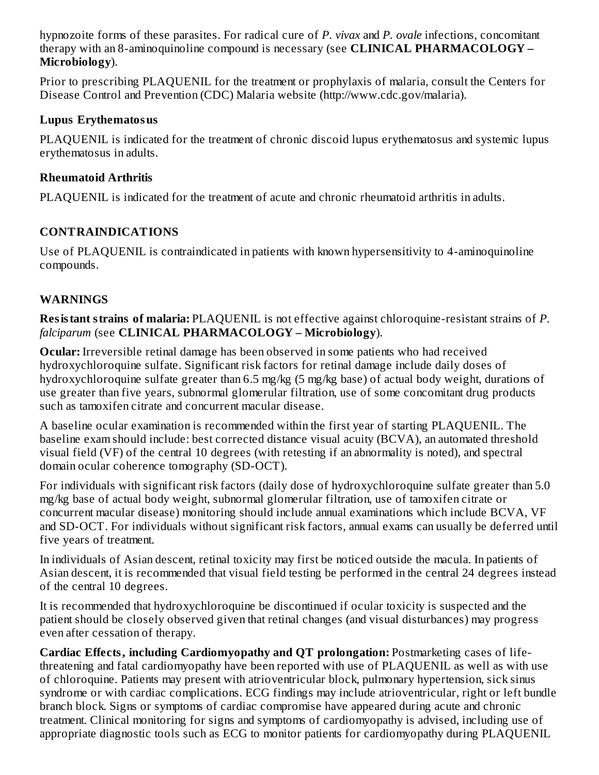hypnozoite forms of these parasites. For radical cure of *P. vivax* and *P. ovale* infections, concomitant therapy with an 8-aminoquinoline compound is necessary (see **CLINICAL PHARMACOLOGY – Microbiology**).

Prior to prescribing PLAQUENIL for the treatment or prophylaxis of malaria, consult the Centers for Disease Control and Prevention (CDC) Malaria website (http://www.cdc.gov/malaria).

### **Lupus Erythematosus**

PLAQUENIL is indicated for the treatment of chronic discoid lupus erythematosus and systemic lupus erythematosus in adults.

### **Rheumatoid Arthritis**

PLAQUENIL is indicated for the treatment of acute and chronic rheumatoid arthritis in adults.

# **CONTRAINDICATIONS**

Use of PLAQUENIL is contraindicated in patients with known hypersensitivity to 4-aminoquinoline compounds.

# **WARNINGS**

**Resistant strains of malaria:** PLAQUENIL is not effective against chloroquine-resistant strains of *P. falciparum* (see **CLINICAL PHARMACOLOGY – Microbiology**).

**Ocular:** Irreversible retinal damage has been observed in some patients who had received hydroxychloroquine sulfate. Significant risk factors for retinal damage include daily doses of hydroxychloroquine sulfate greater than 6.5 mg/kg (5 mg/kg base) of actual body weight, durations of use greater than five years, subnormal glomerular filtration, use of some concomitant drug products such as tamoxifen citrate and concurrent macular disease.

A baseline ocular examination is recommended within the first year of starting PLAQUENIL. The baseline exam should include: best corrected distance visual acuity (BCVA), an automated threshold visual field (VF) of the central 10 degrees (with retesting if an abnormality is noted), and spectral domain ocular coherence tomography (SD-OCT).

For individuals with significant risk factors (daily dose of hydroxychloroquine sulfate greater than 5.0 mg/kg base of actual body weight, subnormal glomerular filtration, use of tamoxifen citrate or concurrent macular disease) monitoring should include annual examinations which include BCVA, VF and SD-OCT. For individuals without significant risk factors, annual exams can usually be deferred until five years of treatment.

In individuals of Asian descent, retinal toxicity may first be noticed outside the macula. In patients of Asian descent, it is recommended that visual field testing be performed in the central 24 degrees instead of the central 10 degrees.

It is recommended that hydroxychloroquine be discontinued if ocular toxicity is suspected and the patient should be closely observed given that retinal changes (and visual disturbances) may progress even after cessation of therapy.

**Cardiac Effects, including Cardiomyopathy and QT prolongation:** Postmarketing cases of lifethreatening and fatal cardiomyopathy have been reported with use of PLAQUENIL as well as with use of chloroquine. Patients may present with atrioventricular block, pulmonary hypertension, sick sinus syndrome or with cardiac complications. ECG findings may include atrioventricular, right or left bundle branch block. Signs or symptoms of cardiac compromise have appeared during acute and chronic treatment. Clinical monitoring for signs and symptoms of cardiomyopathy is advised, including use of appropriate diagnostic tools such as ECG to monitor patients for cardiomyopathy during PLAQUENIL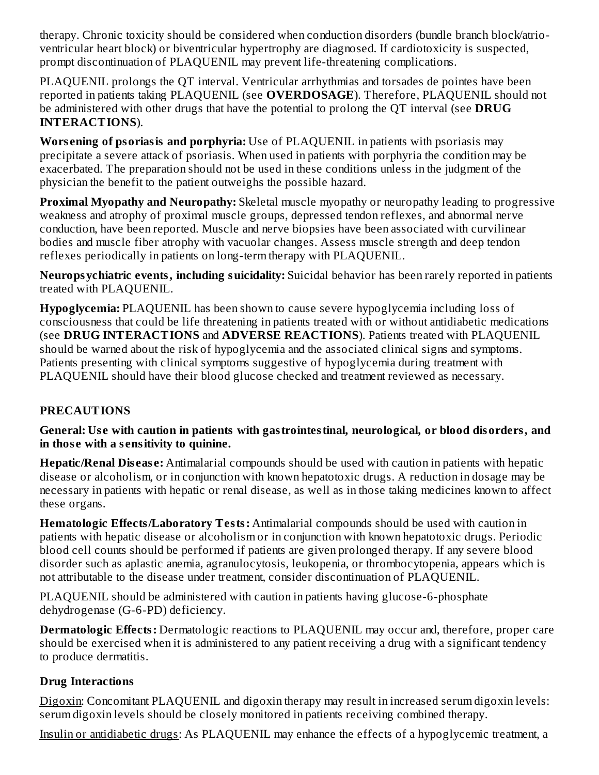therapy. Chronic toxicity should be considered when conduction disorders (bundle branch block/atrioventricular heart block) or biventricular hypertrophy are diagnosed. If cardiotoxicity is suspected, prompt discontinuation of PLAQUENIL may prevent life-threatening complications.

PLAQUENIL prolongs the QT interval. Ventricular arrhythmias and torsades de pointes have been reported in patients taking PLAQUENIL (see **OVERDOSAGE**). Therefore, PLAQUENIL should not be administered with other drugs that have the potential to prolong the QT interval (see **DRUG INTERACTIONS**).

**Wors ening of psoriasis and porphyria:** Use of PLAQUENIL in patients with psoriasis may precipitate a severe attack of psoriasis. When used in patients with porphyria the condition may be exacerbated. The preparation should not be used in these conditions unless in the judgment of the physician the benefit to the patient outweighs the possible hazard.

**Proximal Myopathy and Neuropathy:** Skeletal muscle myopathy or neuropathy leading to progressive weakness and atrophy of proximal muscle groups, depressed tendon reflexes, and abnormal nerve conduction, have been reported. Muscle and nerve biopsies have been associated with curvilinear bodies and muscle fiber atrophy with vacuolar changes. Assess muscle strength and deep tendon reflexes periodically in patients on long-term therapy with PLAQUENIL.

**Neuropsychiatric events, including suicidality:** Suicidal behavior has been rarely reported in patients treated with PLAQUENIL.

**Hypoglycemia:** PLAQUENIL has been shown to cause severe hypoglycemia including loss of consciousness that could be life threatening in patients treated with or without antidiabetic medications (see **DRUG INTERACTIONS** and **ADVERSE REACTIONS**). Patients treated with PLAQUENIL should be warned about the risk of hypoglycemia and the associated clinical signs and symptoms. Patients presenting with clinical symptoms suggestive of hypoglycemia during treatment with PLAQUENIL should have their blood glucose checked and treatment reviewed as necessary.

# **PRECAUTIONS**

**General: Us e with caution in patients with gastrointestinal, neurological, or blood disorders, and in thos e with a s ensitivity to quinine.**

**Hepatic/Renal Dis eas e:** Antimalarial compounds should be used with caution in patients with hepatic disease or alcoholism, or in conjunction with known hepatotoxic drugs. A reduction in dosage may be necessary in patients with hepatic or renal disease, as well as in those taking medicines known to affect these organs.

**Hematologic Effects/Laboratory Tests:** Antimalarial compounds should be used with caution in patients with hepatic disease or alcoholism or in conjunction with known hepatotoxic drugs. Periodic blood cell counts should be performed if patients are given prolonged therapy. If any severe blood disorder such as aplastic anemia, agranulocytosis, leukopenia, or thrombocytopenia, appears which is not attributable to the disease under treatment, consider discontinuation of PLAQUENIL.

PLAQUENIL should be administered with caution in patients having glucose-6-phosphate dehydrogenase (G-6-PD) deficiency.

**Dermatologic Effects:** Dermatologic reactions to PLAQUENIL may occur and, therefore, proper care should be exercised when it is administered to any patient receiving a drug with a significant tendency to produce dermatitis.

# **Drug Interactions**

Digoxin: Concomitant PLAQUENIL and digoxin therapy may result in increased serum digoxin levels: serum digoxin levels should be closely monitored in patients receiving combined therapy.

Insulin or antidiabetic drugs: As PLAQUENIL may enhance the effects of a hypoglycemic treatment, a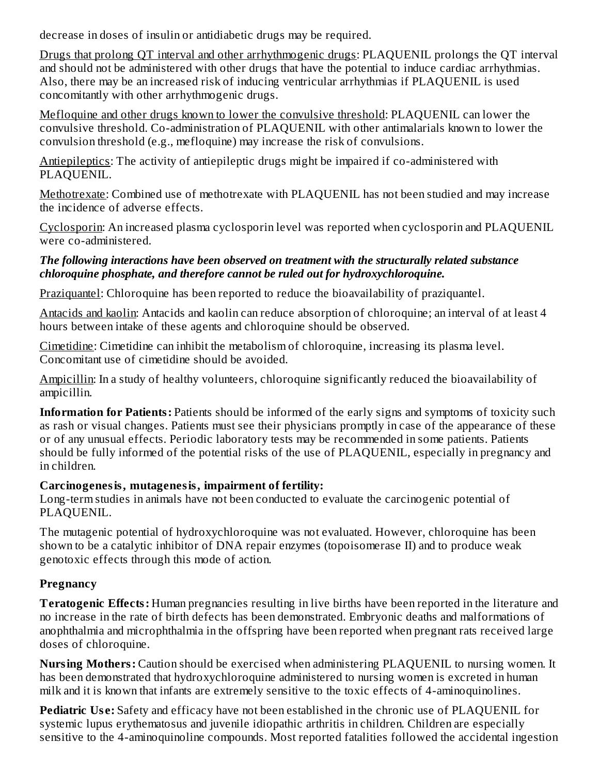decrease in doses of insulin or antidiabetic drugs may be required.

Drugs that prolong QT interval and other arrhythmogenic drugs: PLAQUENIL prolongs the QT interval and should not be administered with other drugs that have the potential to induce cardiac arrhythmias. Also, there may be an increased risk of inducing ventricular arrhythmias if PLAQUENIL is used concomitantly with other arrhythmogenic drugs.

Mefloquine and other drugs known to lower the convulsive threshold: PLAQUENIL can lower the convulsive threshold. Co-administration of PLAQUENIL with other antimalarials known to lower the convulsion threshold (e.g., mefloquine) may increase the risk of convulsions.

Antiepileptics: The activity of antiepileptic drugs might be impaired if co-administered with PLAQUENIL.

Methotrexate: Combined use of methotrexate with PLAQUENIL has not been studied and may increase the incidence of adverse effects.

Cyclosporin: An increased plasma cyclosporin level was reported when cyclosporin and PLAQUENIL were co-administered.

### *The following interactions have been observed on treatment with the structurally related substance chloroquine phosphate, and therefore cannot be ruled out for hydroxychloroquine.*

Praziquantel: Chloroquine has been reported to reduce the bioavailability of praziquantel.

Antacids and kaolin: Antacids and kaolin can reduce absorption of chloroquine; an interval of at least 4 hours between intake of these agents and chloroquine should be observed.

Cimetidine: Cimetidine can inhibit the metabolism of chloroquine, increasing its plasma level. Concomitant use of cimetidine should be avoided.

Ampicillin: In a study of healthy volunteers, chloroquine significantly reduced the bioavailability of ampicillin.

**Information for Patients:** Patients should be informed of the early signs and symptoms of toxicity such as rash or visual changes. Patients must see their physicians promptly in case of the appearance of these or of any unusual effects. Periodic laboratory tests may be recommended in some patients. Patients should be fully informed of the potential risks of the use of PLAQUENIL, especially in pregnancy and in children.

# **Carcinogenesis, mutagenesis, impairment of fertility:**

Long-term studies in animals have not been conducted to evaluate the carcinogenic potential of PLAQUENIL.

The mutagenic potential of hydroxychloroquine was not evaluated. However, chloroquine has been shown to be a catalytic inhibitor of DNA repair enzymes (topoisomerase II) and to produce weak genotoxic effects through this mode of action.

# **Pregnancy**

**Teratogenic Effects:** Human pregnancies resulting in live births have been reported in the literature and no increase in the rate of birth defects has been demonstrated. Embryonic deaths and malformations of anophthalmia and microphthalmia in the offspring have been reported when pregnant rats received large doses of chloroquine.

**Nursing Mothers:** Caution should be exercised when administering PLAQUENIL to nursing women. It has been demonstrated that hydroxychloroquine administered to nursing women is excreted in human milk and it is known that infants are extremely sensitive to the toxic effects of 4-aminoquinolines.

**Pediatric Use:** Safety and efficacy have not been established in the chronic use of PLAQUENIL for systemic lupus erythematosus and juvenile idiopathic arthritis in children. Children are especially sensitive to the 4-aminoquinoline compounds. Most reported fatalities followed the accidental ingestion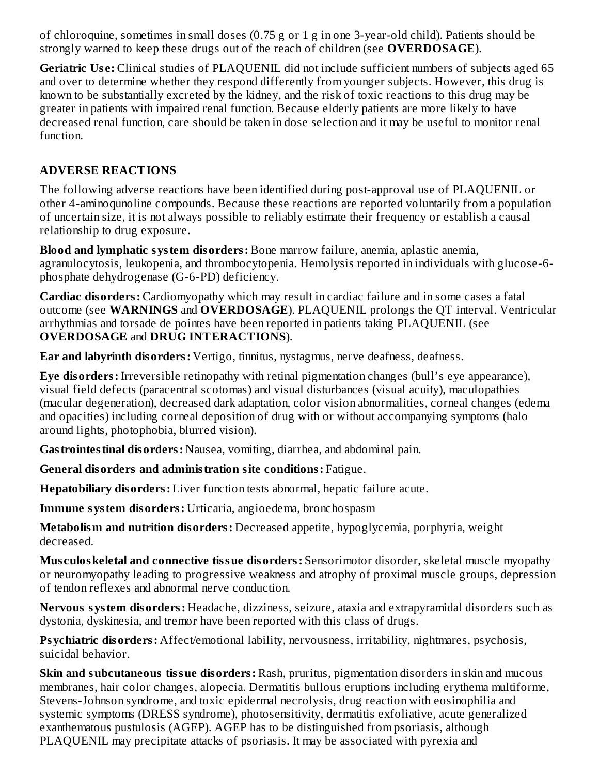of chloroquine, sometimes in small doses (0.75 g or 1 g in one 3-year-old child). Patients should be strongly warned to keep these drugs out of the reach of children (see **OVERDOSAGE**).

**Geriatric Us e:** Clinical studies of PLAQUENIL did not include sufficient numbers of subjects aged 65 and over to determine whether they respond differently from younger subjects. However, this drug is known to be substantially excreted by the kidney, and the risk of toxic reactions to this drug may be greater in patients with impaired renal function. Because elderly patients are more likely to have decreased renal function, care should be taken in dose selection and it may be useful to monitor renal function.

### **ADVERSE REACTIONS**

The following adverse reactions have been identified during post-approval use of PLAQUENIL or other 4-aminoqunoline compounds. Because these reactions are reported voluntarily from a population of uncertain size, it is not always possible to reliably estimate their frequency or establish a causal relationship to drug exposure.

**Blood and lymphatic system disorders:** Bone marrow failure, anemia, aplastic anemia, agranulocytosis, leukopenia, and thrombocytopenia. Hemolysis reported in individuals with glucose-6 phosphate dehydrogenase (G-6-PD) deficiency.

**Cardiac disorders:** Cardiomyopathy which may result in cardiac failure and in some cases a fatal outcome (see **WARNINGS** and **OVERDOSAGE**). PLAQUENIL prolongs the QT interval. Ventricular arrhythmias and torsade de pointes have been reported in patients taking PLAQUENIL (see **OVERDOSAGE** and **DRUG INTERACTIONS**).

**Ear and labyrinth disorders:** Vertigo, tinnitus, nystagmus, nerve deafness, deafness.

**Eye disorders:** Irreversible retinopathy with retinal pigmentation changes (bull's eye appearance), visual field defects (paracentral scotomas) and visual disturbances (visual acuity), maculopathies (macular degeneration), decreased dark adaptation, color vision abnormalities, corneal changes (edema and opacities) including corneal deposition of drug with or without accompanying symptoms (halo around lights, photophobia, blurred vision).

**Gastrointestinal disorders:** Nausea, vomiting, diarrhea, and abdominal pain.

**General disorders and administration site conditions:** Fatigue.

**Hepatobiliary disorders:** Liver function tests abnormal, hepatic failure acute.

**Immune system disorders:** Urticaria, angioedema, bronchospasm

**Metabolism and nutrition disorders:** Decreased appetite, hypoglycemia, porphyria, weight decreased.

**Mus culoskeletal and connective tissue disorders:** Sensorimotor disorder, skeletal muscle myopathy or neuromyopathy leading to progressive weakness and atrophy of proximal muscle groups, depression of tendon reflexes and abnormal nerve conduction.

**Nervous system disorders:** Headache, dizziness, seizure, ataxia and extrapyramidal disorders such as dystonia, dyskinesia, and tremor have been reported with this class of drugs.

**Psychiatric disorders:** Affect/emotional lability, nervousness, irritability, nightmares, psychosis, suicidal behavior.

**Skin and subcutaneous tissue disorders:** Rash, pruritus, pigmentation disorders in skin and mucous membranes, hair color changes, alopecia. Dermatitis bullous eruptions including erythema multiforme, Stevens-Johnson syndrome, and toxic epidermal necrolysis, drug reaction with eosinophilia and systemic symptoms (DRESS syndrome), photosensitivity, dermatitis exfoliative, acute generalized exanthematous pustulosis (AGEP). AGEP has to be distinguished from psoriasis, although PLAQUENIL may precipitate attacks of psoriasis. It may be associated with pyrexia and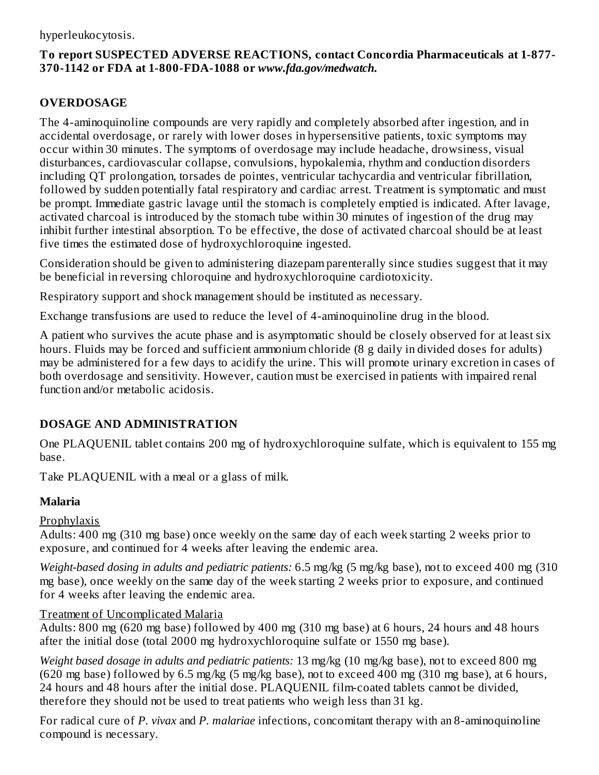### **To report SUSPECTED ADVERSE REACTIONS, contact Concordia Pharmaceuticals at 1-877- 370-1142 or FDA at 1-800-FDA-1088 or** *www.fda.gov/medwatch.*

# **OVERDOSAGE**

The 4-aminoquinoline compounds are very rapidly and completely absorbed after ingestion, and in accidental overdosage, or rarely with lower doses in hypersensitive patients, toxic symptoms may occur within 30 minutes. The symptoms of overdosage may include headache, drowsiness, visual disturbances, cardiovascular collapse, convulsions, hypokalemia, rhythm and conduction disorders including QT prolongation, torsades de pointes, ventricular tachycardia and ventricular fibrillation, followed by sudden potentially fatal respiratory and cardiac arrest. Treatment is symptomatic and must be prompt. Immediate gastric lavage until the stomach is completely emptied is indicated. After lavage, activated charcoal is introduced by the stomach tube within 30 minutes of ingestion of the drug may inhibit further intestinal absorption. To be effective, the dose of activated charcoal should be at least five times the estimated dose of hydroxychloroquine ingested.

Consideration should be given to administering diazepam parenterally since studies suggest that it may be beneficial in reversing chloroquine and hydroxychloroquine cardiotoxicity.

Respiratory support and shock management should be instituted as necessary.

Exchange transfusions are used to reduce the level of 4-aminoquinoline drug in the blood.

A patient who survives the acute phase and is asymptomatic should be closely observed for at least six hours. Fluids may be forced and sufficient ammonium chloride (8 g daily in divided doses for adults) may be administered for a few days to acidify the urine. This will promote urinary excretion in cases of both overdosage and sensitivity. However, caution must be exercised in patients with impaired renal function and/or metabolic acidosis.

# **DOSAGE AND ADMINISTRATION**

One PLAQUENIL tablet contains 200 mg of hydroxychloroquine sulfate, which is equivalent to 155 mg base.

Take PLAQUENIL with a meal or a glass of milk.

# **Malaria**

# Prophylaxis

Adults: 400 mg (310 mg base) once weekly on the same day of each week starting 2 weeks prior to exposure, and continued for 4 weeks after leaving the endemic area.

*Weight-based dosing in adults and pediatric patients:* 6.5 mg/kg (5 mg/kg base), not to exceed 400 mg (310 mg base), once weekly on the same day of the week starting 2 weeks prior to exposure, and continued for 4 weeks after leaving the endemic area.

### Treatment of Uncomplicated Malaria

Adults: 800 mg (620 mg base) followed by 400 mg (310 mg base) at 6 hours, 24 hours and 48 hours after the initial dose (total 2000 mg hydroxychloroquine sulfate or 1550 mg base).

*Weight based dosage in adults and pediatric patients:* 13 mg/kg (10 mg/kg base), not to exceed 800 mg (620 mg base) followed by 6.5 mg/kg (5 mg/kg base), not to exceed 400 mg (310 mg base), at 6 hours, 24 hours and 48 hours after the initial dose. PLAQUENIL film-coated tablets cannot be divided, therefore they should not be used to treat patients who weigh less than 31 kg.

For radical cure of *P. vivax* and *P. malariae* infections, concomitant therapy with an 8-aminoquinoline compound is necessary.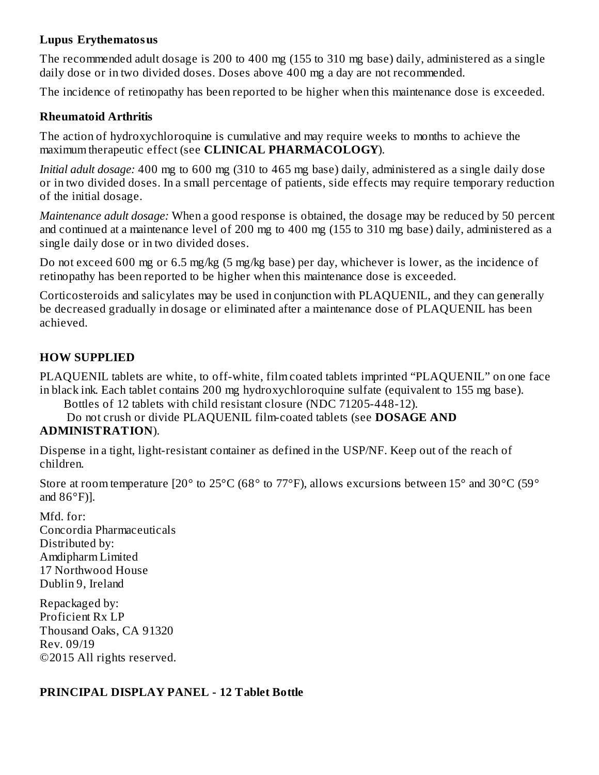#### **Lupus Erythematosus**

The recommended adult dosage is 200 to 400 mg (155 to 310 mg base) daily, administered as a single daily dose or in two divided doses. Doses above 400 mg a day are not recommended.

The incidence of retinopathy has been reported to be higher when this maintenance dose is exceeded.

### **Rheumatoid Arthritis**

The action of hydroxychloroquine is cumulative and may require weeks to months to achieve the maximum therapeutic effect (see **CLINICAL PHARMACOLOGY**).

*Initial adult dosage:* 400 mg to 600 mg (310 to 465 mg base) daily, administered as a single daily dose or in two divided doses. In a small percentage of patients, side effects may require temporary reduction of the initial dosage.

*Maintenance adult dosage:* When a good response is obtained, the dosage may be reduced by 50 percent and continued at a maintenance level of 200 mg to 400 mg (155 to 310 mg base) daily, administered as a single daily dose or in two divided doses.

Do not exceed 600 mg or 6.5 mg/kg (5 mg/kg base) per day, whichever is lower, as the incidence of retinopathy has been reported to be higher when this maintenance dose is exceeded.

Corticosteroids and salicylates may be used in conjunction with PLAQUENIL, and they can generally be decreased gradually in dosage or eliminated after a maintenance dose of PLAQUENIL has been achieved.

# **HOW SUPPLIED**

PLAQUENIL tablets are white, to off-white, film coated tablets imprinted "PLAQUENIL" on one face in black ink. Each tablet contains 200 mg hydroxychloroquine sulfate (equivalent to 155 mg base).

Bottles of 12 tablets with child resistant closure (NDC 71205-448-12).

Do not crush or divide PLAQUENIL film-coated tablets (see **DOSAGE AND**

# **ADMINISTRATION**).

Dispense in a tight, light-resistant container as defined in the USP/NF. Keep out of the reach of children.

Store at room temperature [20° to 25°C (68° to 77°F), allows excursions between 15° and 30°C (59° and  $86^{\circ}$ F)].

Mfd. for: Concordia Pharmaceuticals Distributed by: Amdipharm Limited 17 Northwood House Dublin 9, Ireland

Repackaged by: Proficient Rx LP Thousand Oaks, CA 91320 Rev. 09/19 ©2015 All rights reserved.

# **PRINCIPAL DISPLAY PANEL - 12 Tablet Bottle**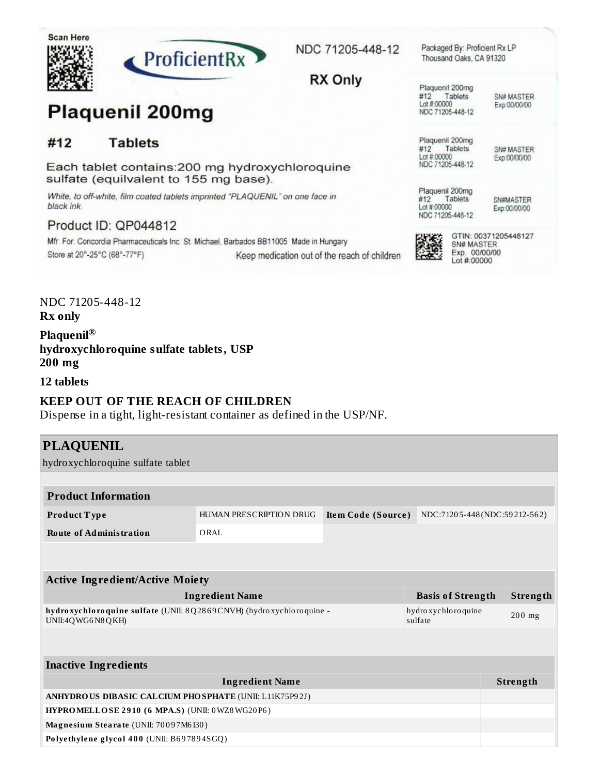

#12

black ink.



Each tablet contains: 200 mg hydroxychloroquine

White, to off-white, film coated tablets imprinted "PLAQUENIL" on one face in

Mfr For: Concordia Pharmaceuticals Inc. St. Michael, Barbados BB11005 Made in Hungary

NDC 71205-448-12

Packaged By: Proficient Rx LP Thousand Oaks, CA 91320

**RX Only** 

Keep medication out of the reach of children

Plaquenil 200mg #12 Tablets Lot #:00000 NDC 71205-448-12

SN# MASTER Exp:00/00/00

Plaquenil 200mg #12 Tablets Lot #:00000 NDC 71205-448-12

SN# MASTER Exp:00/00/00

Plaquenil 200mg #12 Tablets Lot #:00000 NDC 71205-448-12

SN#MASTER Exp:00/00/00



GTIN: 00371205448127 SN# MASTER Exp. 00/00/00 Lot #:00000

NDC 71205-448-12

Store at 20°-25°C (68°-77°F)

Product ID: QP044812

**Rx** only

Plaquenil® hydroxychloroquine sulfate tablets, USP  $200$  mg

**Plaquenil 200mg** 

**Tablets** 

sulfate (equilvalent to 155 mg base).

12 tablets

# **KEEP OUT OF THE REACH OF CHILDREN**

Dispense in a tight, light-resistant container as defined in the USP/NF.

| <b>PLAQUENIL</b>                                                                        |                                |                                                    |                                  |  |          |
|-----------------------------------------------------------------------------------------|--------------------------------|----------------------------------------------------|----------------------------------|--|----------|
| hydroxychloroquine sulfate tablet                                                       |                                |                                                    |                                  |  |          |
|                                                                                         |                                |                                                    |                                  |  |          |
| <b>Product Information</b>                                                              |                                |                                                    |                                  |  |          |
| Product Type                                                                            | <b>HUMAN PRESCRIPTION DRUG</b> | NDC:71205-448(NDC:59212-562)<br>Item Code (Source) |                                  |  |          |
| <b>Route of Administration</b>                                                          | ORAL                           |                                                    |                                  |  |          |
|                                                                                         |                                |                                                    |                                  |  |          |
|                                                                                         |                                |                                                    |                                  |  |          |
| <b>Active Ingredient/Active Moiety</b>                                                  |                                |                                                    |                                  |  |          |
|                                                                                         | <b>Ingredient Name</b>         |                                                    | <b>Basis of Strength</b>         |  | Strength |
| hydroxychloroquine sulfate (UNII: 8Q2869CNVH) (hydroxychloroquine -<br>UNII:4QWG6N8QKH) |                                |                                                    | hydro xychlo ro quine<br>sulfate |  | $200$ mg |
|                                                                                         |                                |                                                    |                                  |  |          |
|                                                                                         |                                |                                                    |                                  |  |          |
| <b>Inactive Ingredients</b>                                                             |                                |                                                    |                                  |  |          |
| <b>Ingredient Name</b>                                                                  |                                |                                                    | Strength                         |  |          |
| <b>ANHYDRO US DIBASIC CALCIUM PHO SPHATE (UNII: L11K75P92J)</b>                         |                                |                                                    |                                  |  |          |
| HYPROMELLOSE 2910 (6 MPA.S) (UNII: 0WZ8WG20P6)                                          |                                |                                                    |                                  |  |          |
| Magnesium Stearate (UNII: 70097M6I30)                                                   |                                |                                                    |                                  |  |          |
| Polyethylene glycol 400 (UNII: B697894SGQ)                                              |                                |                                                    |                                  |  |          |